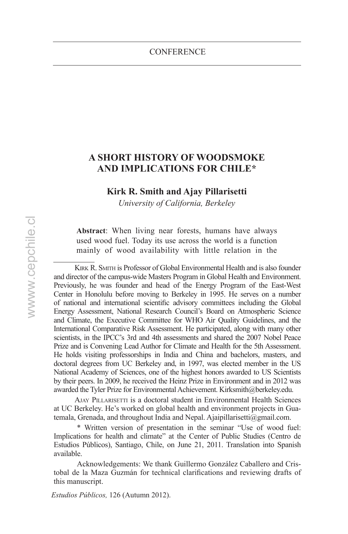# **A Short History of Woodsmoke and Implications for Chile\***

#### **Kirk R. Smith and Ajay Pillarisetti**

*University of California, Berkeley*

**Abstract**: When living near forests, humans have always used wood fuel. Today its use across the world is a function mainly of wood availability with little relation in the

KIRK R. SMITH is Professor of Global Environmental Health and is also founder and director of the campus-wide Masters Program in Global Health and Environment. Previously, he was founder and head of the Energy Program of the East-West Center in Honolulu before moving to Berkeley in 1995. He serves on a number of national and international scientific advisory committees including the Global Energy Assessment, National Research Council's Board on Atmospheric Science and Climate, the Executive Committee for WHO Air Quality Guidelines, and the International Comparative Risk Assessment. He participated, along with many other scientists, in the IPCC's 3rd and 4th assessments and shared the 2007 Nobel Peace Prize and is Convening Lead Author for Climate and Health for the 5th Assessment. He holds visiting professorships in India and China and bachelors, masters, and doctoral degrees from UC Berkeley and, in 1997, was elected member in the US National Academy of Sciences, one of the highest honors awarded to US Scientists by their peers. In 2009, he received the Heinz Prize in Environment and in 2012 was awarded the Tyler Prize for Environmental Achievement. Kirksmith@berkeley.edu.

Ajay Pillarisetti is a doctoral student in Environmental Health Sciences at UC Berkeley. He's worked on global health and environment projects in Guatemala, Grenada, and throughout India and Nepal. Ajaipillarisetti@gmail.com.

\* Written version of presentation in the seminar "Use of wood fuel: Implications for health and climate" at the Center of Public Studies (Centro de Estudios Públicos), Santiago, Chile, on June 21, 2011. Translation into Spanish available.

Acknowledgements: We thank Guillermo González Caballero and Cristobal de la Maza Guzmán for technical clarifications and reviewing drafts of this manuscript.

*Estudios Públicos,* 126 (Autumn 2012).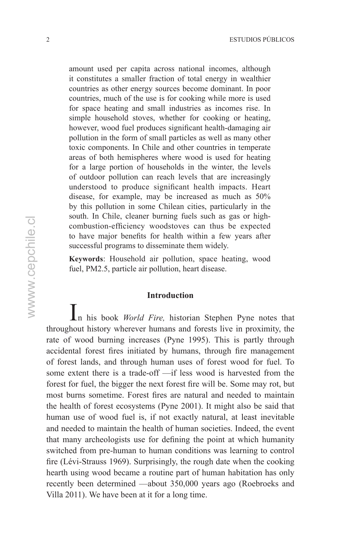amount used per capita across national incomes, although it constitutes a smaller fraction of total energy in wealthier countries as other energy sources become dominant. In poor countries, much of the use is for cooking while more is used for space heating and small industries as incomes rise. In simple household stoves, whether for cooking or heating, however, wood fuel produces significant health-damaging air pollution in the form of small particles as well as many other toxic components. In Chile and other countries in temperate areas of both hemispheres where wood is used for heating for a large portion of households in the winter, the levels of outdoor pollution can reach levels that are increasingly understood to produce significant health impacts. Heart disease, for example, may be increased as much as 50% by this pollution in some Chilean cities, particularly in the south. In Chile, cleaner burning fuels such as gas or highcombustion-efficiency woodstoves can thus be expected to have major benefits for health within a few years after successful programs to disseminate them widely.

**Keywords**: Household air pollution, space heating, wood fuel, PM2.5, particle air pollution, heart disease.

# **Introduction**

In his book *World Fire,* historian Stephen Pyne notes that throughout history wherever humans and forests live in proximity, the rate of wood burning increases (Pyne 1995). This is partly through accidental forest fires initiated by humans, through fire management of forest lands, and through human uses of forest wood for fuel. To some extent there is a trade-off —if less wood is harvested from the forest for fuel, the bigger the next forest fire will be. Some may rot, but most burns sometime. Forest fires are natural and needed to maintain the health of forest ecosystems (Pyne 2001). It might also be said that human use of wood fuel is, if not exactly natural, at least inevitable and needed to maintain the health of human societies. Indeed, the event that many archeologists use for defining the point at which humanity switched from pre-human to human conditions was learning to control fire (Lévi-Strauss 1969). Surprisingly, the rough date when the cooking hearth using wood became a routine part of human habitation has only recently been determined —about 350,000 years ago (Roebroeks and Villa 2011). We have been at it for a long time.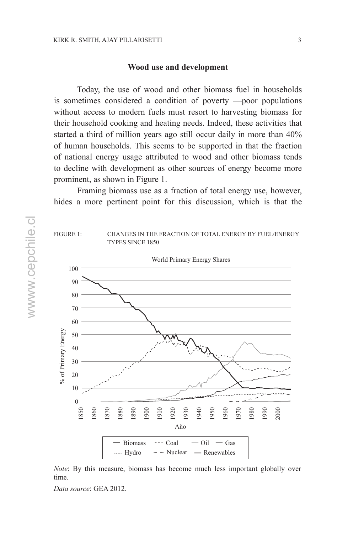#### **Wood use and development**

Today, the use of wood and other biomass fuel in households is sometimes considered a condition of poverty —poor populations without access to modern fuels must resort to harvesting biomass for their household cooking and heating needs. Indeed, these activities that started a third of million years ago still occur daily in more than 40% of human households. This seems to be supported in that the fraction of national energy usage attributed to wood and other biomass tends to decline with development as other sources of energy become more prominent, as shown in Figure 1.

Framing biomass use as a fraction of total energy use, however, hides a more pertinent point for this discussion, which is that the



*Note*: By this measure, biomass has become much less important globally over time.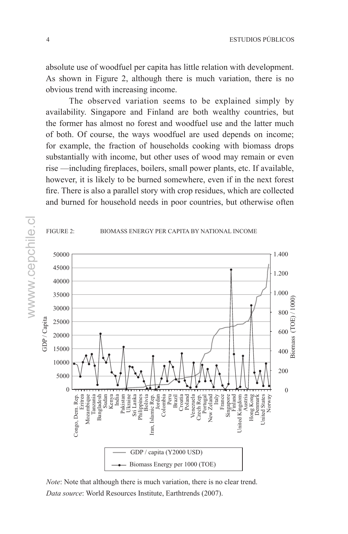absolute use of woodfuel per capita has little relation with development. As shown in Figure 2, although there is much variation, there is no obvious trend with increasing income.

The observed variation seems to be explained simply by availability. Singapore and Finland are both wealthy countries, but the former has almost no forest and woodfuel use and the latter much of both. Of course, the ways woodfuel are used depends on income; for example, the fraction of households cooking with biomass drops substantially with income, but other uses of wood may remain or even rise —including fireplaces, boilers, small power plants, etc. If available, however, it is likely to be burned somewhere, even if in the next forest fire. There is also a parallel story with crop residues, which are collected and burned for household needs in poor countries, but otherwise often



*Note*: Note that although there is much variation, there is no clear trend. *Data source*: World Resources Institute, Earthtrends (2007).

wwww.cepchile.cl wwww.cepchile.cl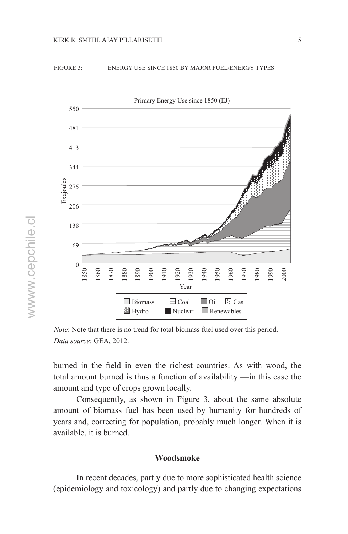

#### Figure 3: energy use since 1850 by major fuel/energy types



*Note*: Note that there is no trend for total biomass fuel used over this period. *Data source*: GEA, 2012.

burned in the field in even the richest countries. As with wood, the total amount burned is thus a function of availability —in this case the amount and type of crops grown locally.

Consequently, as shown in Figure 3, about the same absolute amount of biomass fuel has been used by humanity for hundreds of years and, correcting for population, probably much longer. When it is available, it is burned.

# **Woodsmoke**

In recent decades, partly due to more sophisticated health science (epidemiology and toxicology) and partly due to changing expectations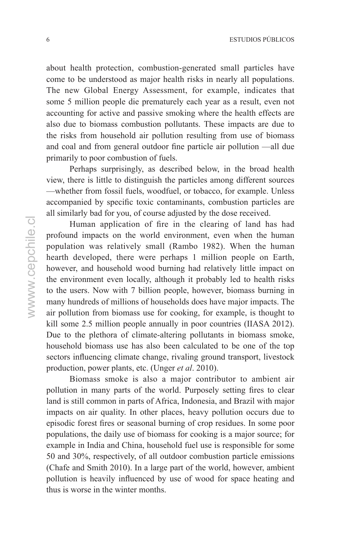6 estudios públicos

about health protection, combustion-generated small particles have come to be understood as major health risks in nearly all populations. The new Global Energy Assessment, for example, indicates that some 5 million people die prematurely each year as a result, even not accounting for active and passive smoking where the health effects are also due to biomass combustion pollutants. These impacts are due to the risks from household air pollution resulting from use of biomass and coal and from general outdoor fine particle air pollution —all due primarily to poor combustion of fuels.

Perhaps surprisingly, as described below, in the broad health view, there is little to distinguish the particles among different sources —whether from fossil fuels, woodfuel, or tobacco, for example. Unless accompanied by specific toxic contaminants, combustion particles are all similarly bad for you, of course adjusted by the dose received.

Human application of fire in the clearing of land has had profound impacts on the world environment, even when the human population was relatively small (Rambo 1982). When the human hearth developed, there were perhaps 1 million people on Earth, however, and household wood burning had relatively little impact on the environment even locally, although it probably led to health risks to the users. Now with 7 billion people, however, biomass burning in many hundreds of millions of households does have major impacts. The air pollution from biomass use for cooking, for example, is thought to kill some 2.5 million people annually in poor countries (IIASA 2012). Due to the plethora of climate-altering pollutants in biomass smoke, household biomass use has also been calculated to be one of the top sectors influencing climate change, rivaling ground transport, livestock production, power plants, etc. (Unger *et al*. 2010).

Biomass smoke is also a major contributor to ambient air pollution in many parts of the world. Purposely setting fires to clear land is still common in parts of Africa, Indonesia, and Brazil with major impacts on air quality. In other places, heavy pollution occurs due to episodic forest fires or seasonal burning of crop residues. In some poor populations, the daily use of biomass for cooking is a major source; for example in India and China, household fuel use is responsible for some 50 and 30%, respectively, of all outdoor combustion particle emissions (Chafe and Smith 2010). In a large part of the world, however, ambient pollution is heavily influenced by use of wood for space heating and thus is worse in the winter months.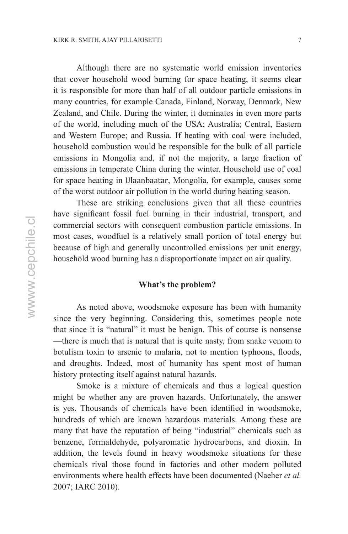Although there are no systematic world emission inventories that cover household wood burning for space heating, it seems clear it is responsible for more than half of all outdoor particle emissions in many countries, for example Canada, Finland, Norway, Denmark, New Zealand, and Chile. During the winter, it dominates in even more parts of the world, including much of the USA; Australia; Central, Eastern and Western Europe; and Russia. If heating with coal were included, household combustion would be responsible for the bulk of all particle emissions in Mongolia and, if not the majority, a large fraction of emissions in temperate China during the winter. Household use of coal for space heating in Ulaanbaatar, Mongolia, for example, causes some of the worst outdoor air pollution in the world during heating season.

These are striking conclusions given that all these countries have significant fossil fuel burning in their industrial, transport, and commercial sectors with consequent combustion particle emissions. In most cases, woodfuel is a relatively small portion of total energy but because of high and generally uncontrolled emissions per unit energy, household wood burning has a disproportionate impact on air quality.

### **What's the problem?**

As noted above, woodsmoke exposure has been with humanity since the very beginning. Considering this, sometimes people note that since it is "natural" it must be benign. This of course is nonsense —there is much that is natural that is quite nasty, from snake venom to botulism toxin to arsenic to malaria, not to mention typhoons, floods, and droughts. Indeed, most of humanity has spent most of human history protecting itself against natural hazards.

Smoke is a mixture of chemicals and thus a logical question might be whether any are proven hazards. Unfortunately, the answer is yes. Thousands of chemicals have been identified in woodsmoke, hundreds of which are known hazardous materials. Among these are many that have the reputation of being "industrial" chemicals such as benzene, formaldehyde, polyaromatic hydrocarbons, and dioxin. In addition, the levels found in heavy woodsmoke situations for these chemicals rival those found in factories and other modern polluted environments where health effects have been documented (Naeher *et al.* 2007; IARC 2010).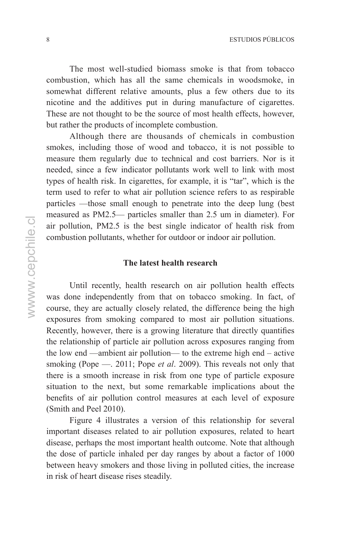The most well-studied biomass smoke is that from tobacco combustion, which has all the same chemicals in woodsmoke, in somewhat different relative amounts, plus a few others due to its nicotine and the additives put in during manufacture of cigarettes. These are not thought to be the source of most health effects, however, but rather the products of incomplete combustion.

Although there are thousands of chemicals in combustion smokes, including those of wood and tobacco, it is not possible to measure them regularly due to technical and cost barriers. Nor is it needed, since a few indicator pollutants work well to link with most types of health risk. In cigarettes, for example, it is "tar", which is the term used to refer to what air pollution science refers to as respirable particles —those small enough to penetrate into the deep lung (best measured as PM2.5— particles smaller than 2.5 um in diameter). For air pollution, PM2.5 is the best single indicator of health risk from combustion pollutants, whether for outdoor or indoor air pollution.

## **The latest health research**

Until recently, health research on air pollution health effects was done independently from that on tobacco smoking. In fact, of course, they are actually closely related, the difference being the high exposures from smoking compared to most air pollution situations. Recently, however, there is a growing literature that directly quantifies the relationship of particle air pollution across exposures ranging from the low end —ambient air pollution— to the extreme high end – active smoking (Pope —. 2011; Pope *et al*. 2009). This reveals not only that there is a smooth increase in risk from one type of particle exposure situation to the next, but some remarkable implications about the benefits of air pollution control measures at each level of exposure (Smith and Peel 2010).

Figure 4 illustrates a version of this relationship for several important diseases related to air pollution exposures, related to heart disease, perhaps the most important health outcome. Note that although the dose of particle inhaled per day ranges by about a factor of 1000 between heavy smokers and those living in polluted cities, the increase in risk of heart disease rises steadily.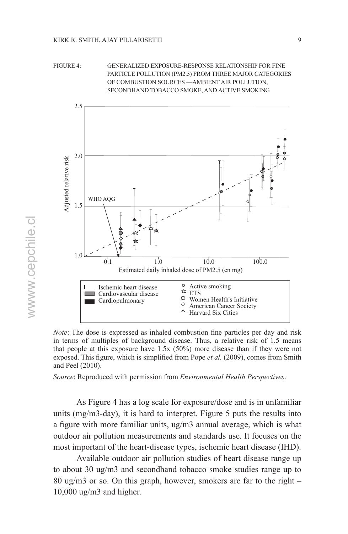



*Note*: The dose is expressed as inhaled combustion fine particles per day and risk in terms of multiples of background disease. Thus, a relative risk of 1.5 means that people at this exposure have 1.5x (50%) more disease than if they were not exposed. This figure, which is simplified from Pope *et al.* (2009), comes from Smith and Peel (2010).

*Source*: Reproduced with permission from *Environmental Health Perspectives*.

As Figure 4 has a log scale for exposure/dose and is in unfamiliar units (mg/m3-day), it is hard to interpret. Figure 5 puts the results into a figure with more familiar units, ug/m3 annual average, which is what outdoor air pollution measurements and standards use. It focuses on the most important of the heart-disease types, ischemic heart disease (IHD).

Available outdoor air pollution studies of heart disease range up to about 30 ug/m3 and secondhand tobacco smoke studies range up to 80 ug/m3 or so. On this graph, however, smokers are far to the right – 10,000 ug/m3 and higher.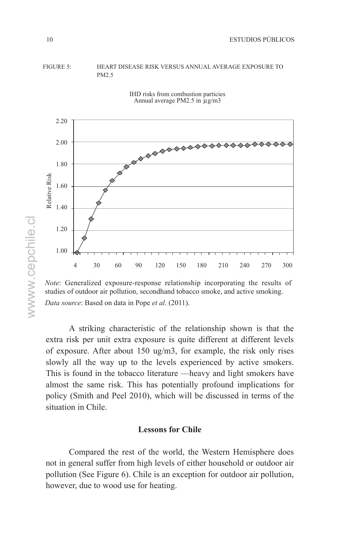#### FIGURE 5: HEART DISEASE RISK VERSUS ANNUAL AVERAGE EXPOSURE TO PM2.5



IHD risks from combustion particies Annual average PM2.5 in µg/m3

*Note*: Generalized exposure-response relationship incorporating the results of studies of outdoor air pollution, secondhand tobacco smoke, and active smoking. *Data source*: Based on data in Pope *et al*. (2011).

A striking characteristic of the relationship shown is that the extra risk per unit extra exposure is quite different at different levels of exposure. After about 150 ug/m3, for example, the risk only rises slowly all the way up to the levels experienced by active smokers. This is found in the tobacco literature —heavy and light smokers have almost the same risk. This has potentially profound implications for policy (Smith and Peel 2010), which will be discussed in terms of the situation in Chile.

## **Lessons for Chile**

Compared the rest of the world, the Western Hemisphere does not in general suffer from high levels of either household or outdoor air pollution (See Figure 6). Chile is an exception for outdoor air pollution, however, due to wood use for heating.

wwww.cepchile.cl wwww.cepchile.cl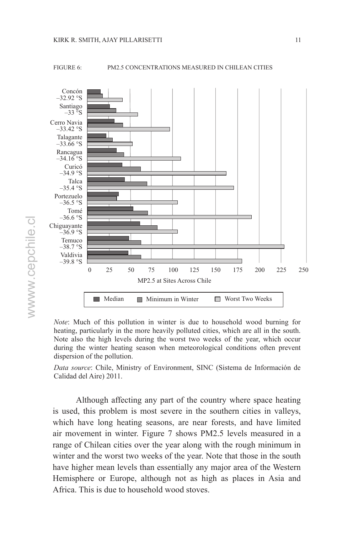

wwww.cepchile.cl wwww.cepchile.cl

#### Figure 6: PM2.5 concentrations measured in Chilean cities



*Note*: Much of this pollution in winter is due to household wood burning for heating, particularly in the more heavily polluted cities, which are all in the south. Note also the high levels during the worst two weeks of the year, which occur during the winter heating season when meteorological conditions often prevent dispersion of the pollution.

*Data source*: Chile, Ministry of Environment, SINC (Sistema de Información de Calidad del Aire) 2011.

Although affecting any part of the country where space heating is used, this problem is most severe in the southern cities in valleys, which have long heating seasons, are near forests, and have limited air movement in winter. Figure 7 shows PM2.5 levels measured in a range of Chilean cities over the year along with the rough minimum in winter and the worst two weeks of the year. Note that those in the south have higher mean levels than essentially any major area of the Western Hemisphere or Europe, although not as high as places in Asia and Africa. This is due to household wood stoves.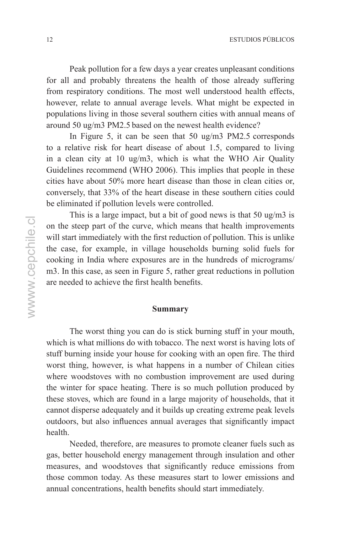Peak pollution for a few days a year creates unpleasant conditions for all and probably threatens the health of those already suffering from respiratory conditions. The most well understood health effects, however, relate to annual average levels. What might be expected in populations living in those several southern cities with annual means of around 50 ug/m3 PM2.5 based on the newest health evidence?

In Figure 5, it can be seen that 50 ug/m3 PM2.5 corresponds to a relative risk for heart disease of about 1.5, compared to living in a clean city at 10 ug/m3, which is what the WHO Air Quality Guidelines recommend (WHO 2006). This implies that people in these cities have about 50% more heart disease than those in clean cities or, conversely, that 33% of the heart disease in these southern cities could be eliminated if pollution levels were controlled.

This is a large impact, but a bit of good news is that 50 ug/m3 is on the steep part of the curve, which means that health improvements will start immediately with the first reduction of pollution. This is unlike the case, for example, in village households burning solid fuels for cooking in India where exposures are in the hundreds of micrograms/ m3. In this case, as seen in Figure 5, rather great reductions in pollution are needed to achieve the first health benefits.

#### **Summary**

The worst thing you can do is stick burning stuff in your mouth, which is what millions do with tobacco. The next worst is having lots of stuff burning inside your house for cooking with an open fire. The third worst thing, however, is what happens in a number of Chilean cities where woodstoves with no combustion improvement are used during the winter for space heating. There is so much pollution produced by these stoves, which are found in a large majority of households, that it cannot disperse adequately and it builds up creating extreme peak levels outdoors, but also influences annual averages that significantly impact health.

Needed, therefore, are measures to promote cleaner fuels such as gas, better household energy management through insulation and other measures, and woodstoves that significantly reduce emissions from those common today. As these measures start to lower emissions and annual concentrations, health benefits should start immediately.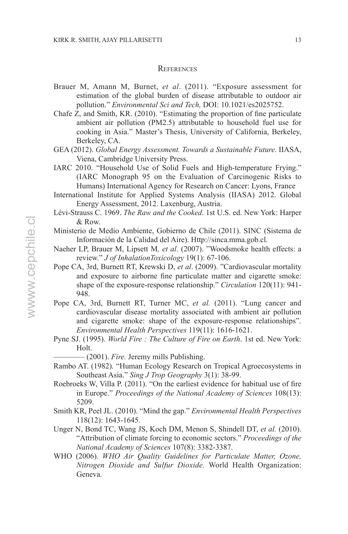#### **REFERENCES**

- Brauer M, Amann M, Burnet, *et al*. (2011). "Exposure assessment for estimation of the global burden of disease attributable to outdoor air pollution." *Environmental Sci and Tech,* DOI: 10.1021/es2025752.
- Chafe Z, and Smith, KR. (2010). "Estimating the proportion of fine particulate ambient air pollution (PM2.5) attributable to household fuel use for cooking in Asia." Master's Thesis, University of California, Berkeley, Berkeley, CA.
- GEA (2012). *Global Energy Assessment. Towards a Sustainable Future.* IIASA, Viena, Cambridge University Press.
- IARC 2010. "Household Use of Solid Fuels and High-temperature Frying." (IARC Monograph 95 on the Evaluation of Carcinogenic Risks to Humans) International Agency for Research on Cancer: Lyons, France
- International Institute for Applied Systems Analysis (IIASA) 2012. Global Energy Assessment, 2012. Laxenburg, Austria.
- Lévi-Strauss C. 1969. *The Raw and the Cooked*. 1st U.S. ed. New York: Harper & Row.
- Ministerio de Medio Ambiente, Gobierno de Chile (2011). SINC (Sistema de Información de la Calidad del Aire). Http://sinca.mma.gob.cl.
- Naeher LP, Brauer M, Lipsett M*, et al*. (2007). "Woodsmoke health effects: a review." *J of InhalationToxicology* 19(1): 67-106.
- Pope CA, 3rd, Burnett RT, Krewski D, *et al*. (2009). "Cardiovascular mortality and exposure to airborne fine particulate matter and cigarette smoke: shape of the exposure-response relationship." *Circulation* 120(11): 941- 948.
- Pope CA, 3rd, Burnett RT, Turner MC, *et al.* (2011). "Lung cancer and cardiovascular disease mortality associated with ambient air pollution and cigarette smoke: shape of the exposure-response relationships". *Environmental Health Perspectives* 119(11): 1616-1621.
- Pyne SJ. (1995). *World Fire : The Culture of Fire on Earth*. 1st ed. New York: Holt.
	- $-$  (2001). *Fire.* Jeremy mills Publishing.
- Rambo AT. (1982). "Human Ecology Research on Tropical Agroecosystems in Southeast Asia." *Sing J Trop Geography* 3(1): 38-99.
- Roebroeks W, Villa P. (2011). "On the earliest evidence for habitual use of fire in Europe." *Proceedings of the National Academy of Sciences* 108(13): 5209.
- Smith KR, Peel JL. (2010). "Mind the gap." *Environmental Health Perspectives* 118(12): 1643-1645.
- Unger N, Bond TC, Wang JS, Koch DM, Menon S, Shindell DT, *et al.* (2010). "Attribution of climate forcing to economic sectors." *Proceedings of the National Academy of Sciences* 107(8): 3382-3387.
- WHO (2006). *WHO Air Quality Guidelines for Particulate Matter, Ozone, Nitrogen Dioxide and Sulfur Dioxide*. World Health Organization: Geneva.